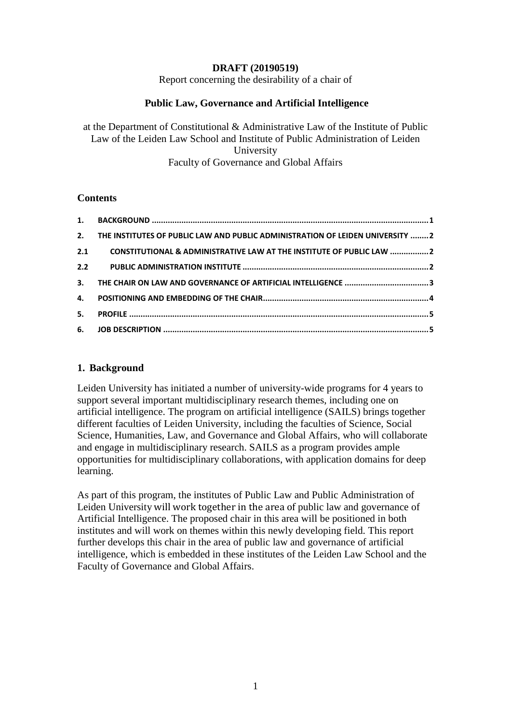## **DRAFT (20190519)**

Report concerning the desirability of a chair of

## **Public Law, Governance and Artificial Intelligence**

at the Department of Constitutional & Administrative Law of the Institute of Public Law of the Leiden Law School and Institute of Public Administration of Leiden University Faculty of Governance and Global Affairs

#### **Contents**

| 2.  | THE INSTITUTES OF PUBLIC LAW AND PUBLIC ADMINISTRATION OF LEIDEN UNIVERSITY 2 |  |
|-----|-------------------------------------------------------------------------------|--|
| 2.1 | CONSTITUTIONAL & ADMINISTRATIVE LAW AT THE INSTITUTE OF PUBLIC LAW 2          |  |
|     |                                                                               |  |
|     |                                                                               |  |
|     |                                                                               |  |
| 5.  |                                                                               |  |
|     |                                                                               |  |

#### <span id="page-0-0"></span>**1. Background**

Leiden University has initiated a number of university-wide programs for 4 years to support several important multidisciplinary research themes, including one on artificial intelligence. The program on artificial intelligence (SAILS) brings together different faculties of Leiden University, including the faculties of Science, Social Science, Humanities, Law, and Governance and Global Affairs, who will collaborate and engage in multidisciplinary research. SAILS as a program provides ample opportunities for multidisciplinary collaborations, with application domains for deep learning.

As part of this program, the institutes of Public Law and Public Administration of Leiden University will work together in the area of public law and governance of Artificial Intelligence. The proposed chair in this area will be positioned in both institutes and will work on themes within this newly developing field. This report further develops this chair in the area of public law and governance of artificial intelligence, which is embedded in these institutes of the Leiden Law School and the Faculty of Governance and Global Affairs.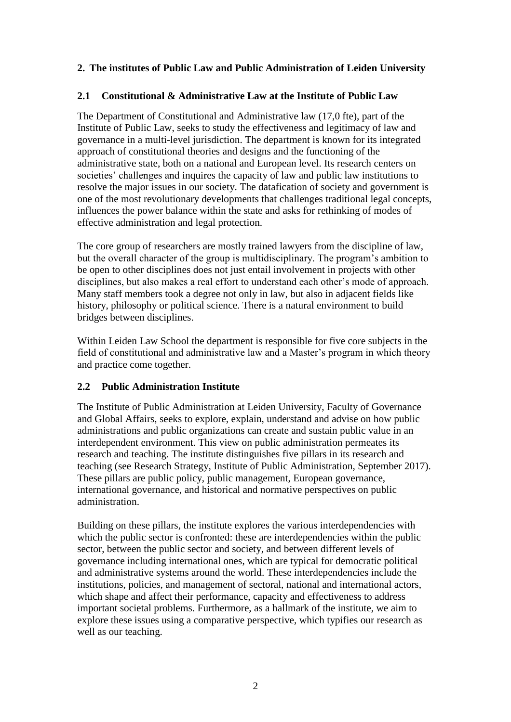# <span id="page-1-0"></span>**2. The institutes of Public Law and Public Administration of Leiden University**

# <span id="page-1-1"></span>**2.1 Constitutional & Administrative Law at the Institute of Public Law**

The Department of Constitutional and Administrative law (17,0 fte), part of the Institute of Public Law, seeks to study the effectiveness and legitimacy of law and governance in a multi-level jurisdiction. The department is known for its integrated approach of constitutional theories and designs and the functioning of the administrative state, both on a national and European level. Its research centers on societies' challenges and inquires the capacity of law and public law institutions to resolve the major issues in our society. The datafication of society and government is one of the most revolutionary developments that challenges traditional legal concepts, influences the power balance within the state and asks for rethinking of modes of effective administration and legal protection.

The core group of researchers are mostly trained lawyers from the discipline of law, but the overall character of the group is multidisciplinary. The program's ambition to be open to other disciplines does not just entail involvement in projects with other disciplines, but also makes a real effort to understand each other's mode of approach. Many staff members took a degree not only in law, but also in adjacent fields like history, philosophy or political science. There is a natural environment to build bridges between disciplines.

Within Leiden Law School the department is responsible for five core subjects in the field of constitutional and administrative law and a Master's program in which theory and practice come together.

# <span id="page-1-2"></span>**2.2 Public Administration Institute**

The Institute of Public Administration at Leiden University, Faculty of Governance and Global Affairs, seeks to explore, explain, understand and advise on how public administrations and public organizations can create and sustain public value in an interdependent environment. This view on public administration permeates its research and teaching. The institute distinguishes five pillars in its research and teaching (see Research Strategy, Institute of Public Administration, September 2017). These pillars are public policy, public management, European governance, international governance, and historical and normative perspectives on public administration.

Building on these pillars, the institute explores the various interdependencies with which the public sector is confronted: these are interdependencies within the public sector, between the public sector and society, and between different levels of governance including international ones, which are typical for democratic political and administrative systems around the world. These interdependencies include the institutions, policies, and management of sectoral, national and international actors, which shape and affect their performance, capacity and effectiveness to address important societal problems. Furthermore, as a hallmark of the institute, we aim to explore these issues using a comparative perspective, which typifies our research as well as our teaching.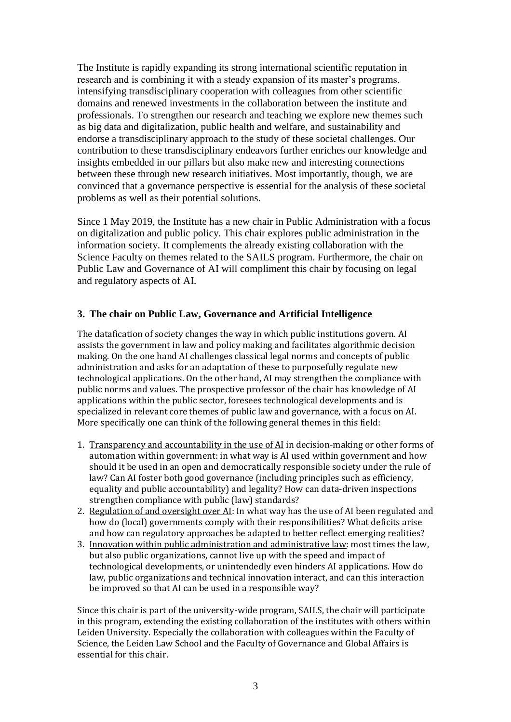The Institute is rapidly expanding its strong international scientific reputation in research and is combining it with a steady expansion of its master's programs, intensifying transdisciplinary cooperation with colleagues from other scientific domains and renewed investments in the collaboration between the institute and professionals. To strengthen our research and teaching we explore new themes such as big data and digitalization, public health and welfare, and sustainability and endorse a transdisciplinary approach to the study of these societal challenges. Our contribution to these transdisciplinary endeavors further enriches our knowledge and insights embedded in our pillars but also make new and interesting connections between these through new research initiatives. Most importantly, though, we are convinced that a governance perspective is essential for the analysis of these societal problems as well as their potential solutions.

Since 1 May 2019, the Institute has a new chair in Public Administration with a focus on digitalization and public policy. This chair explores public administration in the information society. It complements the already existing collaboration with the Science Faculty on themes related to the SAILS program. Furthermore, the chair on Public Law and Governance of AI will compliment this chair by focusing on legal and regulatory aspects of AI.

## <span id="page-2-0"></span>**3. The chair on Public Law, Governance and Artificial Intelligence**

The datafication of society changes the way in which public institutions govern. AI assists the government in law and policy making and facilitates algorithmic decision making. On the one hand AI challenges classical legal norms and concepts of public administration and asks for an adaptation of these to purposefully regulate new technological applications. On the other hand, AI may strengthen the compliance with public norms and values. The prospective professor of the chair has knowledge of AI applications within the public sector, foresees technological developments and is specialized in relevant core themes of public law and governance, with a focus on AI. More specifically one can think of the following general themes in this field:

- 1. Transparency and accountability in the use of AI in decision-making or other forms of automation within government: in what way is AI used within government and how should it be used in an open and democratically responsible society under the rule of law? Can AI foster both good governance (including principles such as efficiency, equality and public accountability) and legality? How can data-driven inspections strengthen compliance with public (law) standards?
- 2. Regulation of and oversight over AI: In what way has the use of AI been regulated and how do (local) governments comply with their responsibilities? What deficits arise and how can regulatory approaches be adapted to better reflect emerging realities?
- 3. Innovation within public administration and administrative law: most times the law, but also public organizations, cannot live up with the speed and impact of technological developments, or unintendedly even hinders AI applications. How do law, public organizations and technical innovation interact, and can this interaction be improved so that AI can be used in a responsible way?

Since this chair is part of the university-wide program, SAILS, the chair will participate in this program, extending the existing collaboration of the institutes with others within Leiden University. Especially the collaboration with colleagues within the Faculty of Science, the Leiden Law School and the Faculty of Governance and Global Affairs is essential for this chair.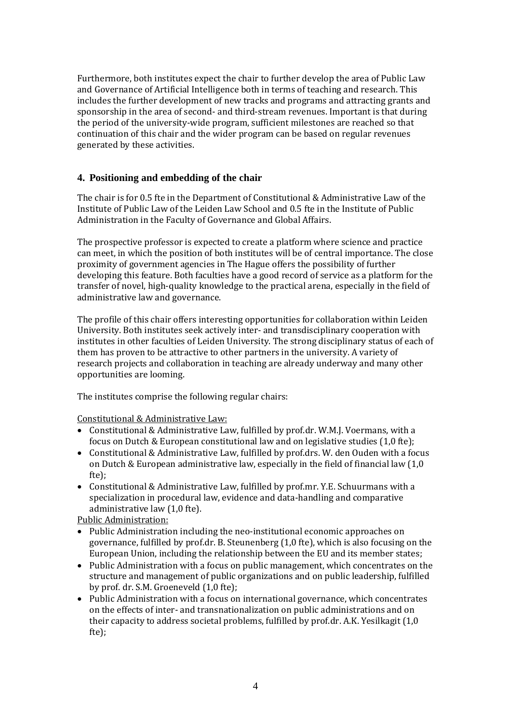Furthermore, both institutes expect the chair to further develop the area of Public Law and Governance of Artificial Intelligence both in terms of teaching and research. This includes the further development of new tracks and programs and attracting grants and sponsorship in the area of second- and third-stream revenues. Important is that during the period of the university-wide program, sufficient milestones are reached so that continuation of this chair and the wider program can be based on regular revenues generated by these activities.

## <span id="page-3-0"></span>**4. Positioning and embedding of the chair**

The chair is for 0.5 fte in the Department of Constitutional & Administrative Law of the Institute of Public Law of the Leiden Law School and 0.5 fte in the Institute of Public Administration in the Faculty of Governance and Global Affairs.

The prospective professor is expected to create a platform where science and practice can meet, in which the position of both institutes will be of central importance. The close proximity of government agencies in The Hague offers the possibility of further developing this feature. Both faculties have a good record of service as a platform for the transfer of novel, high-quality knowledge to the practical arena, especially in the field of administrative law and governance.

The profile of this chair offers interesting opportunities for collaboration within Leiden University. Both institutes seek actively inter- and transdisciplinary cooperation with institutes in other faculties of Leiden University. The strong disciplinary status of each of them has proven to be attractive to other partners in the university. A variety of research projects and collaboration in teaching are already underway and many other opportunities are looming.

The institutes comprise the following regular chairs:

Constitutional & Administrative Law:

- Constitutional & Administrative Law, fulfilled by prof.dr. W.M.J. Voermans, with a focus on Dutch & European constitutional law and on legislative studies (1,0 fte);
- Constitutional & Administrative Law, fulfilled by prof.drs. W. den Ouden with a focus on Dutch & European administrative law, especially in the field of financial law (1,0 fte);
- Constitutional & Administrative Law, fulfilled by prof.mr. Y.E. Schuurmans with a specialization in procedural law, evidence and data-handling and comparative administrative law (1,0 fte).

Public Administration:

- Public Administration including the neo-institutional economic approaches on governance, fulfilled by prof.dr. B. Steunenberg (1,0 fte), which is also focusing on the European Union, including the relationship between the EU and its member states;
- Public Administration with a focus on public management, which concentrates on the structure and management of public organizations and on public leadership, fulfilled by prof. dr. S.M. Groeneveld (1,0 fte);
- Public Administration with a focus on international governance, which concentrates on the effects of inter- and transnationalization on public administrations and on their capacity to address societal problems, fulfilled by prof.dr. A.K. Yesilkagit (1,0 fte);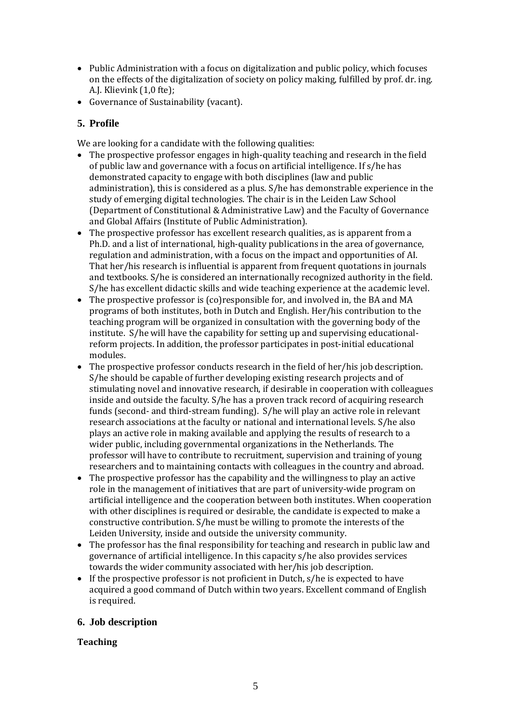- Public Administration with a focus on digitalization and public policy, which focuses on the effects of the digitalization of society on policy making, fulfilled by prof. dr. ing. A.J. Klievink (1,0 fte);
- Governance of Sustainability (vacant).

# <span id="page-4-0"></span>**5. Profile**

We are looking for a candidate with the following qualities:

- The prospective professor engages in high-quality teaching and research in the field of public law and governance with a focus on artificial intelligence. If s/he has demonstrated capacity to engage with both disciplines (law and public administration), this is considered as a plus. S/he has demonstrable experience in the study of emerging digital technologies. The chair is in the Leiden Law School (Department of Constitutional & Administrative Law) and the Faculty of Governance and Global Affairs (Institute of Public Administration).
- The prospective professor has excellent research qualities, as is apparent from a Ph.D. and a list of international, high-quality publications in the area of governance, regulation and administration, with a focus on the impact and opportunities of AI. That her/his research is influential is apparent from frequent quotations in journals and textbooks. S/he is considered an internationally recognized authority in the field. S/he has excellent didactic skills and wide teaching experience at the academic level.
- The prospective professor is (co)responsible for, and involved in, the BA and MA programs of both institutes, both in Dutch and English. Her/his contribution to the teaching program will be organized in consultation with the governing body of the institute. S/he will have the capability for setting up and supervising educationalreform projects. In addition, the professor participates in post-initial educational modules.
- The prospective professor conducts research in the field of her/his job description. S/he should be capable of further developing existing research projects and of stimulating novel and innovative research, if desirable in cooperation with colleagues inside and outside the faculty. S/he has a proven track record of acquiring research funds (second- and third-stream funding). S/he will play an active role in relevant research associations at the faculty or national and international levels. S/he also plays an active role in making available and applying the results of research to a wider public, including governmental organizations in the Netherlands. The professor will have to contribute to recruitment, supervision and training of young researchers and to maintaining contacts with colleagues in the country and abroad.
- The prospective professor has the capability and the willingness to play an active role in the management of initiatives that are part of university-wide program on artificial intelligence and the cooperation between both institutes. When cooperation with other disciplines is required or desirable, the candidate is expected to make a constructive contribution. S/he must be willing to promote the interests of the Leiden University, inside and outside the university community.
- The professor has the final responsibility for teaching and research in public law and governance of artificial intelligence. In this capacity s/he also provides services towards the wider community associated with her/his job description.
- If the prospective professor is not proficient in Dutch, s/he is expected to have acquired a good command of Dutch within two years. Excellent command of English is required.

# <span id="page-4-1"></span>**6. Job description**

#### **Teaching**